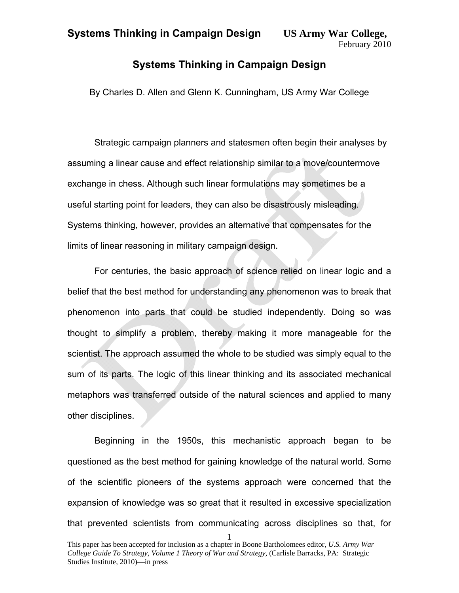### **Systems Thinking in Campaign Design**

By Charles D. Allen and Glenn K. Cunningham, US Army War College

Strategic campaign planners and statesmen often begin their analyses by assuming a linear cause and effect relationship similar to a move/countermove exchange in chess. Although such linear formulations may sometimes be a useful starting point for leaders, they can also be disastrously misleading. Systems thinking, however, provides an alternative that compensates for the limits of linear reasoning in military campaign design.

For centuries, the basic approach of science relied on linear logic and a belief that the best method for understanding any phenomenon was to break that phenomenon into parts that could be studied independently. Doing so was thought to simplify a problem, thereby making it more manageable for the scientist. The approach assumed the whole to be studied was simply equal to the sum of its parts. The logic of this linear thinking and its associated mechanical metaphors was transferred outside of the natural sciences and applied to many other disciplines.

Beginning in the 1950s, this mechanistic approach began to be questioned as the best method for gaining knowledge of the natural world. Some of the scientific pioneers of the systems approach were concerned that the expansion of knowledge was so great that it resulted in excessive specialization that prevented scientists from communicating across disciplines so that, for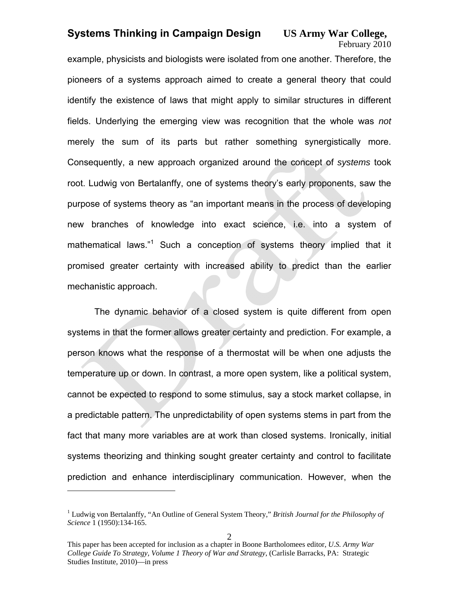# February 2010

example, physicists and biologists were isolated from one another. Therefore, the pioneers of a systems approach aimed to create a general theory that could identify the existence of laws that might apply to similar structures in different fields. Underlying the emerging view was recognition that the whole was *not* merely the sum of its parts but rather something synergistically more. Consequently, a new approach organized around the concept of *systems* took root. Ludwig von Bertalanffy, one of systems theory's early proponents, saw the purpose of systems theory as "an important means in the process of developing new branches of knowledge into exact science, i.e. into a system of mathematical laws."<sup>1</sup> Such a conception of systems theory implied that it promised greater certainty with increased ability to predict than the earlier mechanistic approach.

The dynamic behavior of a closed system is quite different from open systems in that the former allows greater certainty and prediction. For example, a person knows what the response of a thermostat will be when one adjusts the temperature up or down. In contrast, a more open system, like a political system, cannot be expected to respond to some stimulus, say a stock market collapse, in a predictable pattern. The unpredictability of open systems stems in part from the fact that many more variables are at work than closed systems. Ironically, initial systems theorizing and thinking sought greater certainty and control to facilitate prediction and enhance interdisciplinary communication. However, when the

<sup>&</sup>lt;sup>1</sup> Ludwig von Bertalanffy, "An Outline of General System Theory," *British Journal for the Philosophy of Science* 1 (1950):134-165.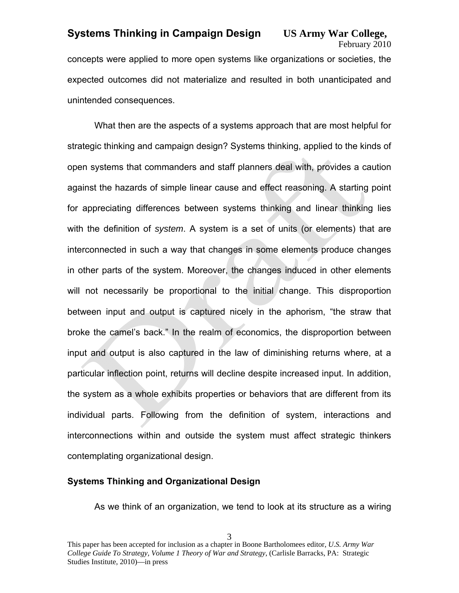# February 2010

concepts were applied to more open systems like organizations or societies, the expected outcomes did not materialize and resulted in both unanticipated and unintended consequences.

What then are the aspects of a systems approach that are most helpful for strategic thinking and campaign design? Systems thinking, applied to the kinds of open systems that commanders and staff planners deal with, provides a caution against the hazards of simple linear cause and effect reasoning. A starting point for appreciating differences between systems thinking and linear thinking lies with the definition of *system*. A system is a set of units (or elements) that are interconnected in such a way that changes in some elements produce changes in other parts of the system. Moreover, the changes induced in other elements will not necessarily be proportional to the initial change. This disproportion between input and output is captured nicely in the aphorism, "the straw that broke the camel's back." In the realm of economics, the disproportion between input and output is also captured in the law of diminishing returns where, at a particular inflection point, returns will decline despite increased input. In addition, the system as a whole exhibits properties or behaviors that are different from its individual parts. Following from the definition of system, interactions and interconnections within and outside the system must affect strategic thinkers contemplating organizational design.

#### **Systems Thinking and Organizational Design**

As we think of an organization, we tend to look at its structure as a wiring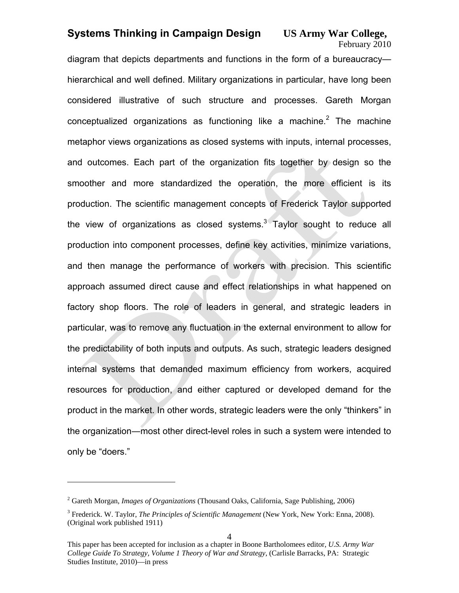February 2010

diagram that depicts departments and functions in the form of a bureaucracy hierarchical and well defined. Military organizations in particular, have long been considered illustrative of such structure and processes. Gareth Morgan conceptualized organizations as functioning like a machine.<sup>2</sup> The machine metaphor views organizations as closed systems with inputs, internal processes, and outcomes. Each part of the organization fits together by design so the smoother and more standardized the operation, the more efficient is its production. The scientific management concepts of Frederick Taylor supported the view of organizations as closed systems. $3$  Taylor sought to reduce all production into component processes, define key activities, minimize variations, and then manage the performance of workers with precision. This scientific approach assumed direct cause and effect relationships in what happened on factory shop floors. The role of leaders in general, and strategic leaders in particular, was to remove any fluctuation in the external environment to allow for the predictability of both inputs and outputs. As such, strategic leaders designed internal systems that demanded maximum efficiency from workers, acquired resources for production, and either captured or developed demand for the product in the market. In other words, strategic leaders were the only "thinkers" in the organization―most other direct-level roles in such a system were intended to only be "doers."

<sup>2</sup> Gareth Morgan, *Images of Organizations* (Thousand Oaks, California, Sage Publishing, 2006)

<sup>&</sup>lt;sup>3</sup> Frederick. W. Taylor, *The Principles of Scientific Management* (New York, New York: Enna, 2008). (Original work published 1911)

This paper has been accepted for inclusion as a chapter in Boone Bartholomees editor, *U.S. Army War College Guide To Strategy, Volume 1 Theory of War and Strategy*, (Carlisle Barracks, PA: Strategic Studies Institute, 2010)—in press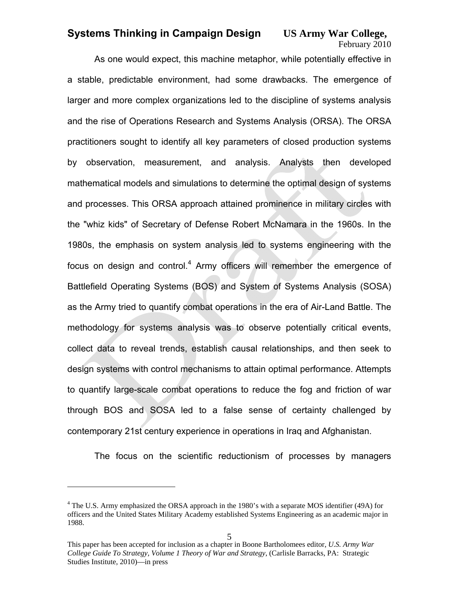February 2010

As one would expect, this machine metaphor, while potentially effective in a stable, predictable environment, had some drawbacks. The emergence of larger and more complex organizations led to the discipline of systems analysis and the rise of Operations Research and Systems Analysis (ORSA). The ORSA practitioners sought to identify all key parameters of closed production systems by observation, measurement, and analysis. Analysts then developed mathematical models and simulations to determine the optimal design of systems and processes. This ORSA approach attained prominence in military circles with the "whiz kids" of Secretary of Defense Robert McNamara in the 1960s. In the 1980s, the emphasis on system analysis led to systems engineering with the focus on design and control. $4$  Army officers will remember the emergence of Battlefield Operating Systems (BOS) and System of Systems Analysis (SOSA) as the Army tried to quantify combat operations in the era of Air-Land Battle. The methodology for systems analysis was to observe potentially critical events, collect data to reveal trends, establish causal relationships, and then seek to design systems with control mechanisms to attain optimal performance. Attempts to quantify large-scale combat operations to reduce the fog and friction of war through BOS and SOSA led to a false sense of certainty challenged by contemporary 21st century experience in operations in Iraq and Afghanistan.

The focus on the scientific reductionism of processes by managers

1

<sup>&</sup>lt;sup>4</sup> The U.S. Army emphasized the ORSA approach in the 1980's with a separate MOS identifier (49A) for officers and the United States Military Academy established Systems Engineering as an academic major in 1988.

This paper has been accepted for inclusion as a chapter in Boone Bartholomees editor, *U.S. Army War College Guide To Strategy, Volume 1 Theory of War and Strategy*, (Carlisle Barracks, PA: Strategic Studies Institute, 2010)—in press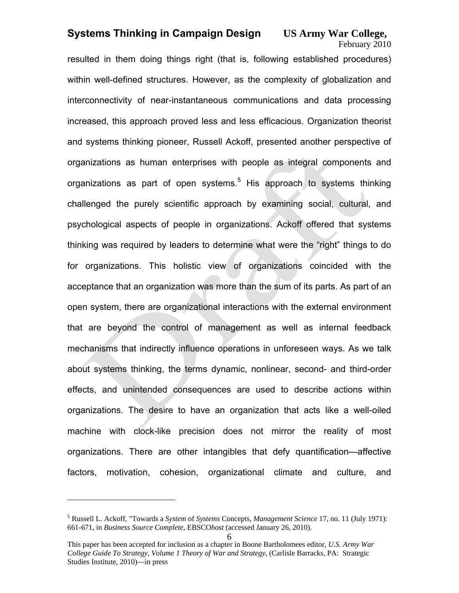# February 2010

resulted in them doing things right (that is, following established procedures) within well-defined structures. However, as the complexity of globalization and interconnectivity of near-instantaneous communications and data processing increased, this approach proved less and less efficacious. Organization theorist and systems thinking pioneer, Russell Ackoff, presented another perspective of organizations as human enterprises with people as integral components and organizations as part of open systems.<sup>5</sup> His approach to systems thinking challenged the purely scientific approach by examining social, cultural, and psychological aspects of people in organizations. Ackoff offered that systems thinking was required by leaders to determine what were the "right" things to do for organizations. This holistic view of organizations coincided with the acceptance that an organization was more than the sum of its parts. As part of an open system, there are organizational interactions with the external environment that are beyond the control of management as well as internal feedback mechanisms that indirectly influence operations in unforeseen ways. As we talk about systems thinking, the terms dynamic, nonlinear, second- and third-order effects, and unintended consequences are used to describe actions within organizations. The desire to have an organization that acts like a well-oiled machine with clock-like precision does not mirror the reality of most organizations. There are other intangibles that defy quantification—affective factors, motivation, cohesion, organizational climate and culture, and

<sup>5</sup> Russell L. Ackoff, "Towards a *System* of *Systems* Concepts, *Management Science* 17, no. 11 (July 1971): 661-671, in *Business Source Complete*, EBSCO*host* (accessed January 26, 2010).

This paper has been accepted for inclusion as a chapter in Boone Bartholomees editor, *U.S. Army War College Guide To Strategy, Volume 1 Theory of War and Strategy*, (Carlisle Barracks, PA: Strategic Studies Institute, 2010)—in press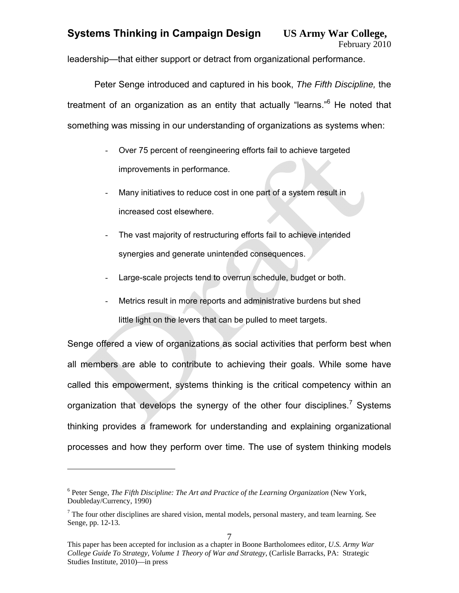leadership—that either support or detract from organizational performance.

Peter Senge introduced and captured in his book, *The Fifth Discipline,* the treatment of an organization as an entity that actually "learns."<sup>6</sup> He noted that something was missing in our understanding of organizations as systems when:

- Over 75 percent of reengineering efforts fail to achieve targeted improvements in performance.
- Many initiatives to reduce cost in one part of a system result in increased cost elsewhere.
- The vast majority of restructuring efforts fail to achieve intended synergies and generate unintended consequences.
- Large-scale projects tend to overrun schedule, budget or both.
- Metrics result in more reports and administrative burdens but shed little light on the levers that can be pulled to meet targets.

Senge offered a view of organizations as social activities that perform best when all members are able to contribute to achieving their goals. While some have called this empowerment, systems thinking is the critical competency within an organization that develops the synergy of the other four disciplines.<sup>7</sup> Systems thinking provides a framework for understanding and explaining organizational processes and how they perform over time. The use of system thinking models

<sup>6</sup> Peter Senge, *The Fifth Discipline: The Art and Practice of the Learning Organization* (New York, Doubleday/Currency, 1990)

 $<sup>7</sup>$  The four other disciplines are shared vision, mental models, personal mastery, and team learning. See</sup> Senge, pp. 12-13.

This paper has been accepted for inclusion as a chapter in Boone Bartholomees editor, *U.S. Army War College Guide To Strategy, Volume 1 Theory of War and Strategy*, (Carlisle Barracks, PA: Strategic Studies Institute, 2010)—in press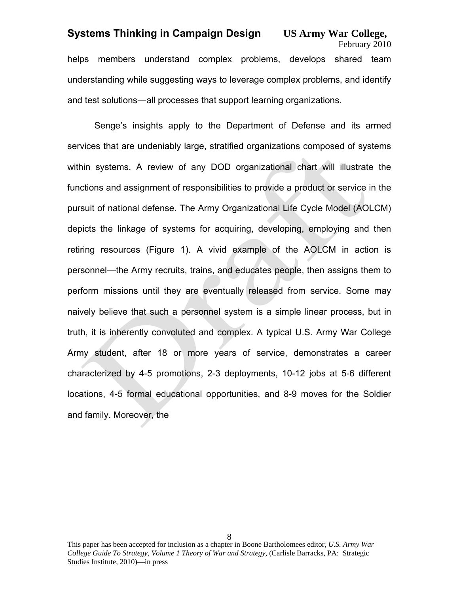February 2010 helps members understand complex problems, develops shared team understanding while suggesting ways to leverage complex problems, and identify and test solutions―all processes that support learning organizations.

Senge's insights apply to the Department of Defense and its armed services that are undeniably large, stratified organizations composed of systems within systems. A review of any DOD organizational chart will illustrate the functions and assignment of responsibilities to provide a product or service in the pursuit of national defense. The Army Organizational Life Cycle Model (AOLCM) depicts the linkage of systems for acquiring, developing, employing and then retiring resources (Figure 1). A vivid example of the AOLCM in action is personnel—the Army recruits, trains, and educates people, then assigns them to perform missions until they are eventually released from service. Some may naively believe that such a personnel system is a simple linear process, but in truth, it is inherently convoluted and complex. A typical U.S. Army War College Army student, after 18 or more years of service, demonstrates a career characterized by 4-5 promotions, 2-3 deployments, 10-12 jobs at 5-6 different locations, 4-5 formal educational opportunities, and 8-9 moves for the Soldier and family. Moreover, the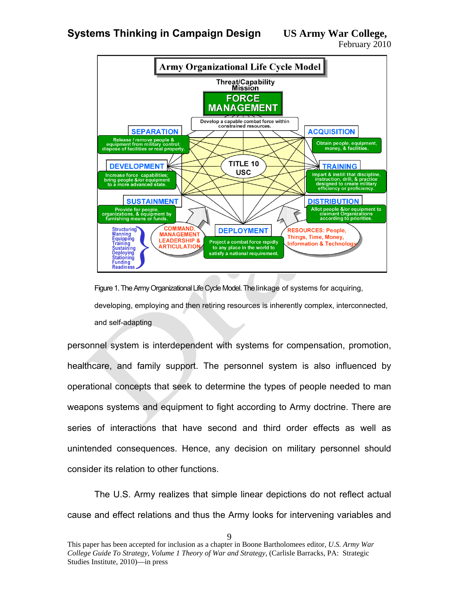



Figure 1. The Army Organizational Life Cycle Model. The linkage of systems for acquiring, developing, employing and then retiring resources is inherently complex, interconnected, and self-adapting

personnel system is interdependent with systems for compensation, promotion, healthcare, and family support. The personnel system is also influenced by operational concepts that seek to determine the types of people needed to man weapons systems and equipment to fight according to Army doctrine. There are series of interactions that have second and third order effects as well as unintended consequences. Hence, any decision on military personnel should consider its relation to other functions.

The U.S. Army realizes that simple linear depictions do not reflect actual cause and effect relations and thus the Army looks for intervening variables and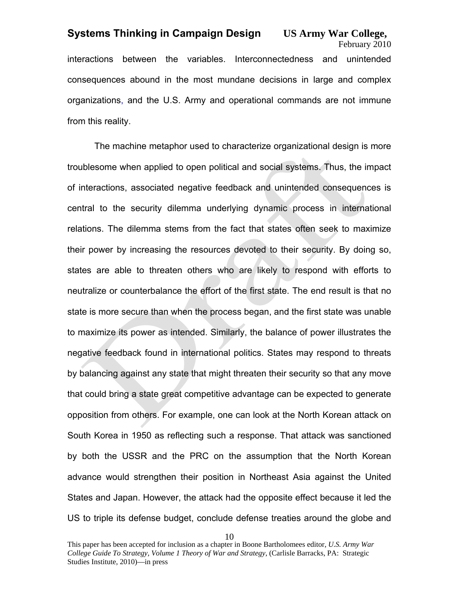February 2010 interactions between the variables. Interconnectedness and unintended consequences abound in the most mundane decisions in large and complex organizations, and the U.S. Army and operational commands are not immune from this reality.

The machine metaphor used to characterize organizational design is more troublesome when applied to open political and social systems. Thus, the impact of interactions, associated negative feedback and unintended consequences is central to the security dilemma underlying dynamic process in international relations. The dilemma stems from the fact that states often seek to maximize their power by increasing the resources devoted to their security. By doing so, states are able to threaten others who are likely to respond with efforts to neutralize or counterbalance the effort of the first state. The end result is that no state is more secure than when the process began, and the first state was unable to maximize its power as intended. Similarly, the balance of power illustrates the negative feedback found in international politics. States may respond to threats by balancing against any state that might threaten their security so that any move that could bring a state great competitive advantage can be expected to generate opposition from others. For example, one can look at the North Korean attack on South Korea in 1950 as reflecting such a response. That attack was sanctioned by both the USSR and the PRC on the assumption that the North Korean advance would strengthen their position in Northeast Asia against the United States and Japan. However, the attack had the opposite effect because it led the US to triple its defense budget, conclude defense treaties around the globe and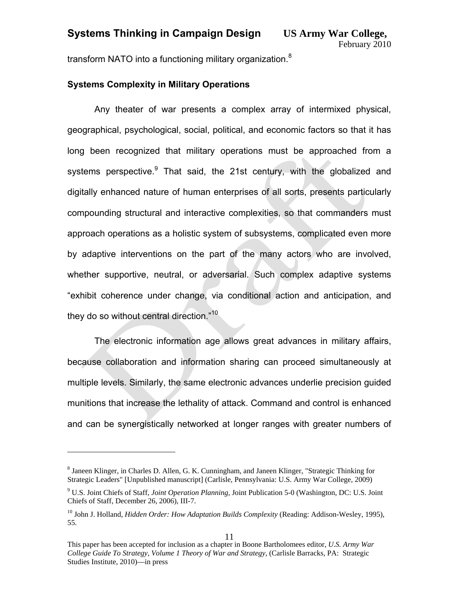transform NATO into a functioning military organization.<sup>8</sup>

#### **Systems Complexity in Military Operations**

Any theater of war presents a complex array of intermixed physical, geographical, psychological, social, political, and economic factors so that it has long been recognized that military operations must be approached from a systems perspective.<sup>9</sup> That said, the 21st century, with the globalized and digitally enhanced nature of human enterprises of all sorts, presents particularly compounding structural and interactive complexities, so that commanders must approach operations as a holistic system of subsystems, complicated even more by adaptive interventions on the part of the many actors who are involved, whether supportive, neutral, or adversarial. Such complex adaptive systems "exhibit coherence under change, via conditional action and anticipation, and they do so without central direction."<sup>10</sup>

The electronic information age allows great advances in military affairs, because collaboration and information sharing can proceed simultaneously at multiple levels. Similarly, the same electronic advances underlie precision guided munitions that increase the lethality of attack. Command and control is enhanced and can be synergistically networked at longer ranges with greater numbers of

<sup>&</sup>lt;sup>8</sup> Janeen Klinger, in Charles D. Allen, G. K. Cunningham, and Janeen Klinger, "Strategic Thinking for Strategic Leaders" [Unpublished manuscript] (Carlisle, Pennsylvania: U.S. Army War College, 2009)

<sup>9</sup> U.S. Joint Chiefs of Staff, *Joint Operation Planning,* Joint Publication 5-0 (Washington, DC: U.S. Joint Chiefs of Staff, December 26, 2006), III-7.

<sup>&</sup>lt;sup>10</sup> John J. Holland, *Hidden Order: How Adaptation Builds Complexity* (Reading: Addison-Wesley, 1995), 55.

This paper has been accepted for inclusion as a chapter in Boone Bartholomees editor, *U.S. Army War College Guide To Strategy, Volume 1 Theory of War and Strategy*, (Carlisle Barracks, PA: Strategic Studies Institute, 2010)—in press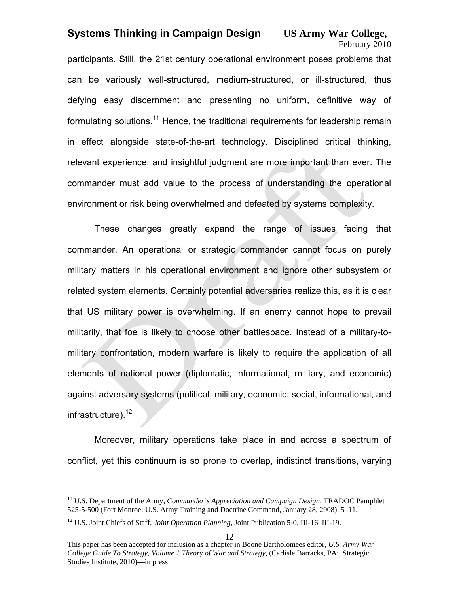# February 2010

participants. Still, the 21st century operational environment poses problems that can be variously well-structured, medium-structured, or ill-structured, thus defying easy discernment and presenting no uniform, definitive way of formulating solutions.<sup>11</sup> Hence, the traditional requirements for leadership remain in effect alongside state-of-the-art technology. Disciplined critical thinking, relevant experience, and insightful judgment are more important than ever. The commander must add value to the process of understanding the operational environment or risk being overwhelmed and defeated by systems complexity.

These changes greatly expand the range of issues facing that commander. An operational or strategic commander cannot focus on purely military matters in his operational environment and ignore other subsystem or related system elements. Certainly potential adversaries realize this, as it is clear that US military power is overwhelming. If an enemy cannot hope to prevail militarily, that foe is likely to choose other battlespace. Instead of a military-tomilitary confrontation, modern warfare is likely to require the application of all elements of national power (diplomatic, informational, military, and economic) against adversary systems (political, military, economic, social, informational, and infrastructure).<sup>12</sup>

Moreover, military operations take place in and across a spectrum of conflict, yet this continuum is so prone to overlap, indistinct transitions, varying

<sup>&</sup>lt;sup>11</sup> U.S. Department of the Army, *Commander's Appreciation and Campaign Design*, **TRADOC** Pamphlet 525-5-500 (Fort Monroe: U.S. Army Training and Doctrine Command, January 28, 2008), 5–11.

<sup>12</sup> U.S. Joint Chiefs of Staff, *Joint Operation Planning,* Joint Publication 5-0, III-16–III-19.

This paper has been accepted for inclusion as a chapter in Boone Bartholomees editor, *U.S. Army War College Guide To Strategy, Volume 1 Theory of War and Strategy*, (Carlisle Barracks, PA: Strategic Studies Institute, 2010)—in press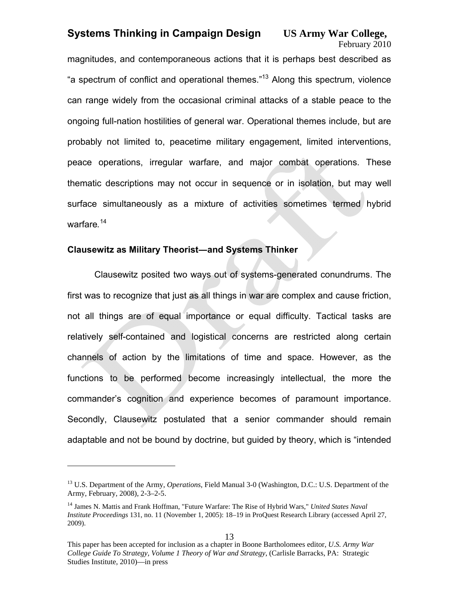# February 2010

magnitudes, and contemporaneous actions that it is perhaps best described as "a spectrum of conflict and operational themes."13 Along this spectrum, violence can range widely from the occasional criminal attacks of a stable peace to the ongoing full-nation hostilities of general war. Operational themes include, but are probably not limited to, peacetime military engagement, limited interventions, peace operations, irregular warfare, and major combat operations. These thematic descriptions may not occur in sequence or in isolation, but may well surface simultaneously as a mixture of activities sometimes termed hybrid warfare*.* 14

#### **Clausewitz as Military Theorist―and Systems Thinker**

<u>.</u>

Clausewitz posited two ways out of systems-generated conundrums. The first was to recognize that just as all things in war are complex and cause friction, not all things are of equal importance or equal difficulty. Tactical tasks are relatively self-contained and logistical concerns are restricted along certain channels of action by the limitations of time and space. However, as the functions to be performed become increasingly intellectual, the more the commander's cognition and experience becomes of paramount importance. Secondly, Clausewitz postulated that a senior commander should remain adaptable and not be bound by doctrine, but guided by theory, which is "intended

<sup>13</sup> U.S. Department of the Army, *Operations*, Field Manual 3-0 (Washington, D.C.: U.S. Department of the Army, February, 2008), 2-3–2-5.

<sup>14</sup> James N. Mattis and Frank Hoffman, "Future Warfare: The Rise of Hybrid Wars," *United States Naval Institute Proceedings* 131, no. 11 (November 1, 2005): 18–19 in ProQuest Research Library (accessed April 27, 2009).

This paper has been accepted for inclusion as a chapter in Boone Bartholomees editor, *U.S. Army War College Guide To Strategy, Volume 1 Theory of War and Strategy*, (Carlisle Barracks, PA: Strategic Studies Institute, 2010)—in press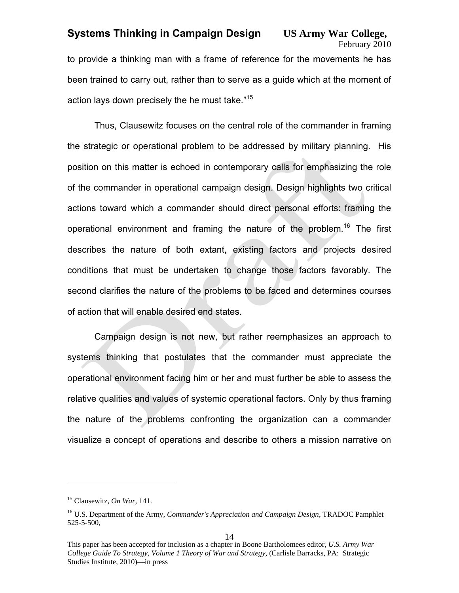# February 2010

to provide a thinking man with a frame of reference for the movements he has been trained to carry out, rather than to serve as a guide which at the moment of action lays down precisely the he must take."<sup>15</sup>

Thus, Clausewitz focuses on the central role of the commander in framing the strategic or operational problem to be addressed by military planning. His position on this matter is echoed in contemporary calls for emphasizing the role of the commander in operational campaign design. Design highlights two critical actions toward which a commander should direct personal efforts: framing the operational environment and framing the nature of the problem.<sup>16</sup> The first describes the nature of both extant, existing factors and projects desired conditions that must be undertaken to change those factors favorably. The second clarifies the nature of the problems to be faced and determines courses of action that will enable desired end states.

Campaign design is not new, but rather reemphasizes an approach to systems thinking that postulates that the commander must appreciate the operational environment facing him or her and must further be able to assess the relative qualities and values of systemic operational factors. Only by thus framing the nature of the problems confronting the organization can a commander visualize a concept of operations and describe to others a mission narrative on

<sup>15</sup> Clausewitz, *On War,* 141.

<sup>16</sup> U.S. Department of the Army, *Commander's Appreciation and Campaign Design*, TRADOC Pamphlet 525-5-500,

This paper has been accepted for inclusion as a chapter in Boone Bartholomees editor, *U.S. Army War College Guide To Strategy, Volume 1 Theory of War and Strategy*, (Carlisle Barracks, PA: Strategic Studies Institute, 2010)—in press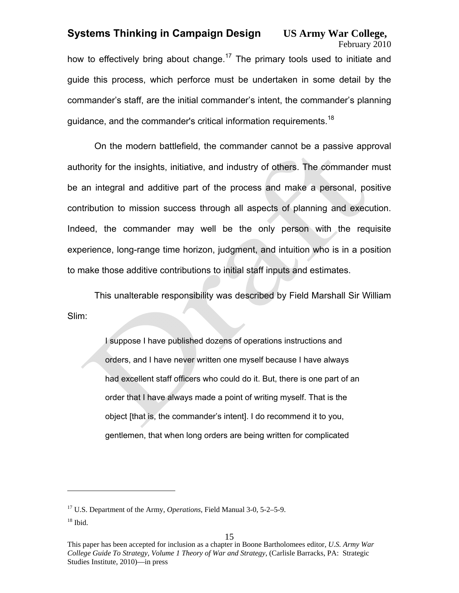# February 2010

how to effectively bring about change.<sup>17</sup> The primary tools used to initiate and guide this process, which perforce must be undertaken in some detail by the commander's staff, are the initial commander's intent, the commander's planning guidance, and the commander's critical information requirements.<sup>18</sup>

On the modern battlefield, the commander cannot be a passive approval authority for the insights, initiative, and industry of others. The commander must be an integral and additive part of the process and make a personal, positive contribution to mission success through all aspects of planning and execution. Indeed, the commander may well be the only person with the requisite experience, long-range time horizon, judgment, and intuition who is in a position to make those additive contributions to initial staff inputs and estimates.

This unalterable responsibility was described by Field Marshall Sir William Slim:

> I suppose I have published dozens of operations instructions and orders, and I have never written one myself because I have always had excellent staff officers who could do it. But, there is one part of an order that I have always made a point of writing myself. That is the object [that is, the commander's intent]. I do recommend it to you, gentlemen, that when long orders are being written for complicated

<sup>17</sup> U.S. Department of the Army, *Operations*, Field Manual 3-0, 5-2–5-9.

 $18$  Ibid.

This paper has been accepted for inclusion as a chapter in Boone Bartholomees editor, *U.S. Army War College Guide To Strategy, Volume 1 Theory of War and Strategy*, (Carlisle Barracks, PA: Strategic Studies Institute, 2010)—in press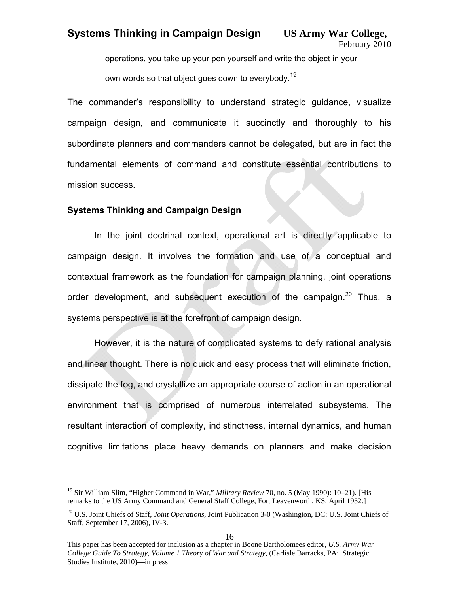operations, you take up your pen yourself and write the object in your

own words so that object goes down to everybody.<sup>19</sup>

The commander's responsibility to understand strategic guidance, visualize campaign design, and communicate it succinctly and thoroughly to his subordinate planners and commanders cannot be delegated, but are in fact the fundamental elements of command and constitute essential contributions to mission success.

#### **Systems Thinking and Campaign Design**

 $\overline{a}$ 

In the joint doctrinal context, operational art is directly applicable to campaign design. It involves the formation and use of a conceptual and contextual framework as the foundation for campaign planning, joint operations order development, and subsequent execution of the campaign.<sup>20</sup> Thus, a systems perspective is at the forefront of campaign design.

However, it is the nature of complicated systems to defy rational analysis and linear thought. There is no quick and easy process that will eliminate friction, dissipate the fog, and crystallize an appropriate course of action in an operational environment that is comprised of numerous interrelated subsystems. The resultant interaction of complexity, indistinctness, internal dynamics, and human cognitive limitations place heavy demands on planners and make decision

<sup>19</sup> Sir William Slim, "Higher Command in War," *Military Review* 70, no. 5 (May 1990): 10–21). [His remarks to the US Army Command and General Staff College, Fort Leavenworth, KS, April 1952.]

<sup>20</sup> U.S. Joint Chiefs of Staff, *Joint Operations,* Joint Publication 3-0 (Washington, DC: U.S. Joint Chiefs of Staff, September 17, 2006), IV-3.

This paper has been accepted for inclusion as a chapter in Boone Bartholomees editor, *U.S. Army War College Guide To Strategy, Volume 1 Theory of War and Strategy*, (Carlisle Barracks, PA: Strategic Studies Institute, 2010)—in press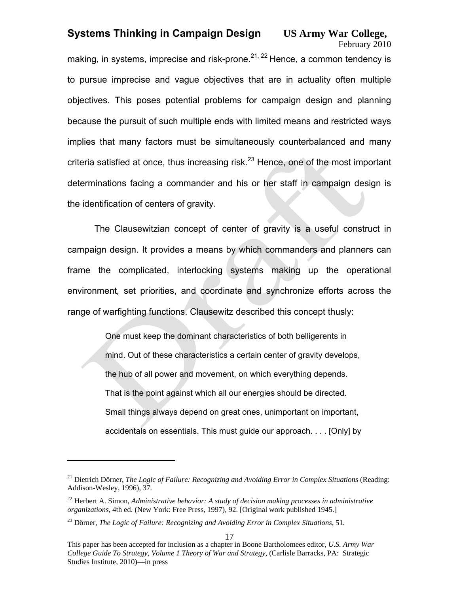# February 2010

making, in systems, imprecise and risk-prone.  $2^{1,22}$  Hence, a common tendency is to pursue imprecise and vague objectives that are in actuality often multiple objectives. This poses potential problems for campaign design and planning because the pursuit of such multiple ends with limited means and restricted ways implies that many factors must be simultaneously counterbalanced and many criteria satisfied at once, thus increasing risk. $^{23}$  Hence, one of the most important determinations facing a commander and his or her staff in campaign design is the identification of centers of gravity.

The Clausewitzian concept of center of gravity is a useful construct in campaign design. It provides a means by which commanders and planners can frame the complicated, interlocking systems making up the operational environment*,* set priorities, and coordinate and synchronize efforts across the range of warfighting functions. Clausewitz described this concept thusly:

> One must keep the dominant characteristics of both belligerents in mind. Out of these characteristics a certain center of gravity develops, the hub of all power and movement, on which everything depends. That is the point against which all our energies should be directed. Small things always depend on great ones, unimportant on important, accidentals on essentials. This must guide our approach. . . . [Only] by

<sup>&</sup>lt;sup>21</sup> Dietrich Dörner, *The Logic of Failure: Recognizing and Avoiding Error in Complex Situations* (Reading: Addison-Wesley, 1996), 37*.* 

<sup>22</sup> Herbert A. Simon, *Administrative behavior: A study of decision making processes in administrative organizations,* 4th ed. (New York: Free Press, 1997), 92. [Original work published 1945.]

<sup>23</sup> Dörner, *The Logic of Failure: Recognizing and Avoiding Error in Complex Situations,* 51*.*

This paper has been accepted for inclusion as a chapter in Boone Bartholomees editor, *U.S. Army War College Guide To Strategy, Volume 1 Theory of War and Strategy*, (Carlisle Barracks, PA: Strategic Studies Institute, 2010)—in press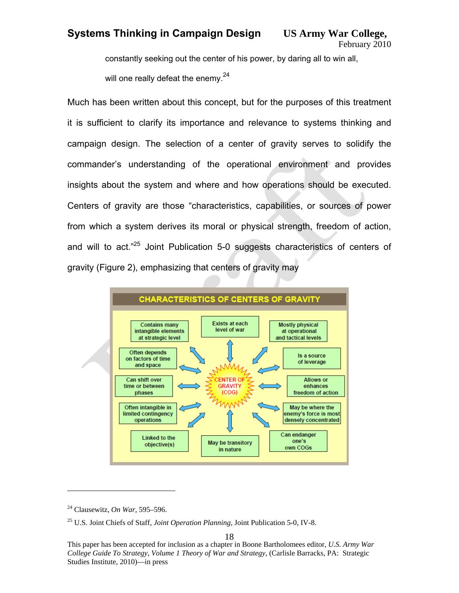constantly seeking out the center of his power, by daring all to win all,

will one really defeat the enemy.<sup>24</sup>

Much has been written about this concept, but for the purposes of this treatment it is sufficient to clarify its importance and relevance to systems thinking and campaign design. The selection of a center of gravity serves to solidify the commander's understanding of the operational environment and provides insights about the system and where and how operations should be executed. Centers of gravity are those "characteristics, capabilities, or sources of power from which a system derives its moral or physical strength, freedom of action, and will to act."<sup>25</sup> Joint Publication 5-0 suggests characteristics of centers of gravity (Figure 2), emphasizing that centers of gravity may



 $\overline{a}$ 

18

<sup>24</sup> Clausewitz, *On War,* 595–596.

<sup>25</sup> U.S. Joint Chiefs of Staff, *Joint Operation Planning,* Joint Publication 5-0, IV-8.

This paper has been accepted for inclusion as a chapter in Boone Bartholomees editor, *U.S. Army War College Guide To Strategy, Volume 1 Theory of War and Strategy*, (Carlisle Barracks, PA: Strategic Studies Institute, 2010)—in press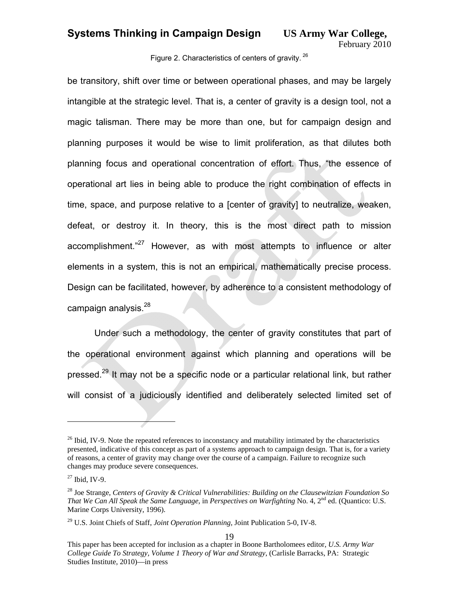February 2010

Figure 2. Characteristics of centers of gravity. 26

be transitory, shift over time or between operational phases, and may be largely intangible at the strategic level. That is, a center of gravity is a design tool, not a magic talisman. There may be more than one, but for campaign design and planning purposes it would be wise to limit proliferation, as that dilutes both planning focus and operational concentration of effort. Thus, "the essence of operational art lies in being able to produce the right combination of effects in time, space, and purpose relative to a [center of gravity] to neutralize, weaken, defeat, or destroy it. In theory, this is the most direct path to mission accomplishment."<sup>27</sup> However, as with most attempts to influence or alter elements in a system, this is not an empirical, mathematically precise process. Design can be facilitated, however, by adherence to a consistent methodology of campaign analysis. $^{28}$ 

Under such a methodology, the center of gravity constitutes that part of the operational environment against which planning and operations will be pressed.<sup>29</sup> It may not be a specific node or a particular relational link, but rather will consist of a judiciously identified and deliberately selected limited set of

 $^{26}$  Ibid, IV-9. Note the repeated references to inconstancy and mutability intimated by the characteristics presented, indicative of this concept as part of a systems approach to campaign design. That is, for a variety of reasons, a center of gravity may change over the course of a campaign. Failure to recognize such changes may produce severe consequences.

 $27$  Ibid, IV-9.

<sup>28</sup> Joe Strange, *Centers of Gravity & Critical Vulnerabilities: Building on the Clausewitzian Foundation So That We Can All Speak the Same Language,* in *Perspectives on Warfighting* No. 4, 2nd ed. (Quantico: U.S. Marine Corps University, 1996).

<sup>29</sup> U.S. Joint Chiefs of Staff, *Joint Operation Planning,* Joint Publication 5-0, IV-8.

This paper has been accepted for inclusion as a chapter in Boone Bartholomees editor, *U.S. Army War College Guide To Strategy, Volume 1 Theory of War and Strategy*, (Carlisle Barracks, PA: Strategic Studies Institute, 2010)—in press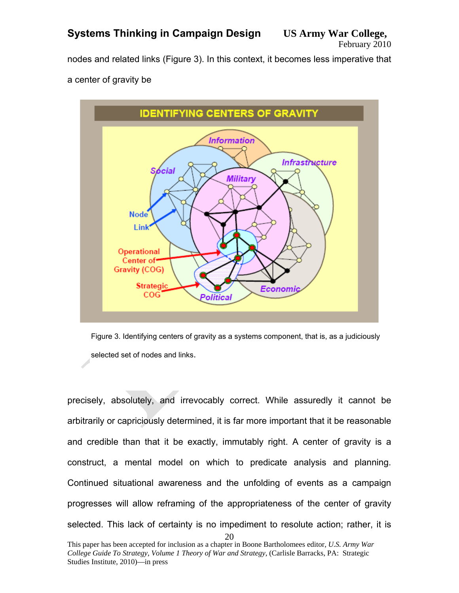nodes and related links (Figure 3). In this context, it becomes less imperative that a center of gravity be



Figure 3. Identifying centers of gravity as a systems component, that is, as a judiciously selected set of nodes and links.

 $20$ precisely, absolutely, and irrevocably correct. While assuredly it cannot be arbitrarily or capriciously determined, it is far more important that it be reasonable and credible than that it be exactly, immutably right. A center of gravity is a construct, a mental model on which to predicate analysis and planning. Continued situational awareness and the unfolding of events as a campaign progresses will allow reframing of the appropriateness of the center of gravity selected. This lack of certainty is no impediment to resolute action; rather, it is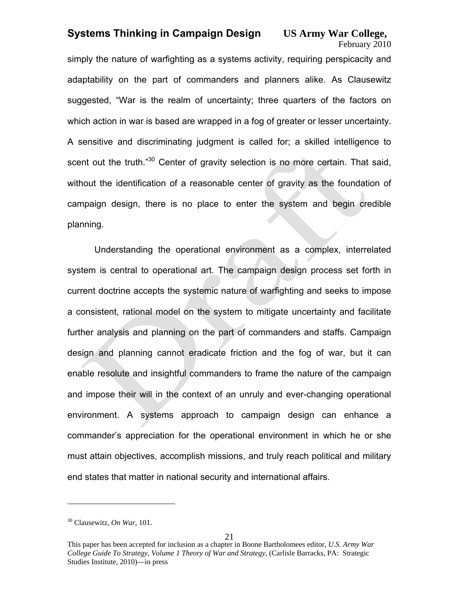# February 2010

simply the nature of warfighting as a systems activity, requiring perspicacity and adaptability on the part of commanders and planners alike. As Clausewitz suggested, "War is the realm of uncertainty; three quarters of the factors on which action in war is based are wrapped in a fog of greater or lesser uncertainty. A sensitive and discriminating judgment is called for; a skilled intelligence to scent out the truth."<sup>30</sup> Center of gravity selection is no more certain. That said, without the identification of a reasonable center of gravity as the foundation of campaign design, there is no place to enter the system and begin credible planning.

Understanding the operational environment as a complex, interrelated system is central to operational art. The campaign design process set forth in current doctrine accepts the systemic nature of warfighting and seeks to impose a consistent, rational model on the system to mitigate uncertainty and facilitate further analysis and planning on the part of commanders and staffs. Campaign design and planning cannot eradicate friction and the fog of war, but it can enable resolute and insightful commanders to frame the nature of the campaign and impose their will in the context of an unruly and ever-changing operational environment. A systems approach to campaign design can enhance a commander's appreciation for the operational environment in which he or she must attain objectives, accomplish missions, and truly reach political and military end states that matter in national security and international affairs.

<sup>30</sup> Clausewitz, *On War,* 101.

This paper has been accepted for inclusion as a chapter in Boone Bartholomees editor, *U.S. Army War College Guide To Strategy, Volume 1 Theory of War and Strategy*, (Carlisle Barracks, PA: Strategic Studies Institute, 2010)—in press